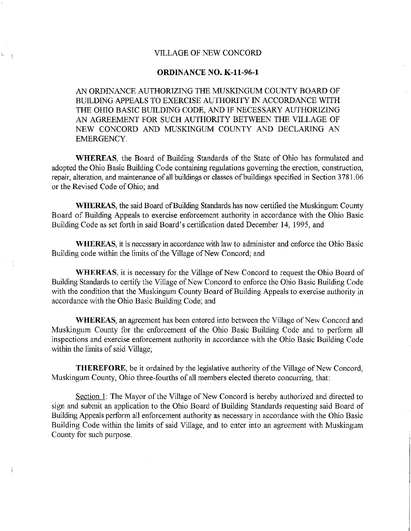## VILLAGE OF NEW CONCORD

 $|\omega_{\rm c}|$ 

## **ORDINANCE NO. K-11-96-1**

AN ORDINANCE AUTHORIZING THE MUSKINGUM COUNTY BOARD OF BUILDING APPEALS TO EXERCISE AUTHORITY IN ACCORDANCE WITH THE OHIO BASIC BUILDING CODE, AND IF NECESSARY AUTHORIZING AN AGREEMENT FOR SUCH AUTHORITY BETWEEN THE VILLAGE OF NEW CONCORD AND MUSKINGUM COUNTY AND DECLARING AN EMERGENCY

**WHEREAS,** the Board of Building Standards of the State of Ohio has formulated and adopted the Ohio Basic Building Code containing regulations governing the erection, construction, repair, alteration, and maintenance of all buildings or classes of buildings specified in Section 3 781. 06 or the Revised Code of Ohio; and

**WHEREAS,** the said Board of Building Standards has now certified the Muskingum County Board of Building Appeals to exercise enforcement authority in accordance with the Ohio Basic Building Code as set forth in said Board's certification dated December 14, 1995, and

**WHEREAS,** it is necessary in accordance with law to administer and enforce the Ohio Basic Building code within the limits of the Village of New Concord; and

**WHEREAS**, it is necessary for the Village of New Concord to request the Ohio Board of Building Standards to certify the Village of New Concord to enforce the Ohio Basic Building Code with the condition that the Muskingum County Board of Building Appeals to exercise authority in accordance with the Ohio Basic Building Code; and

**WHEREAS,** an agreement has been entered into between the Village of New Concord and Muskingum County for the enforcement of the Ohio Basic Building Code and to perform all inspections and exercise enforcement authority in accordance with the Ohio Basic Building Code within the limits of said Village;

**THEREFORE,** be it ordained by the legislative authority of the Village of New Concord, Muskingum County, Ohio three-fourths of all members elected thereto concurring, that:

Section 1: The Mayor of the Village of New Concord is hereby authorized and directed to sign and submit an application to the Ohio Board of Building Standards requesting said Board of Building Appeals perform all enforcement authority as necessary in accordance with the Ohio Basic Building Code within the limits of said Village, and to enter into an agreement with Muskingum County for such purpose.